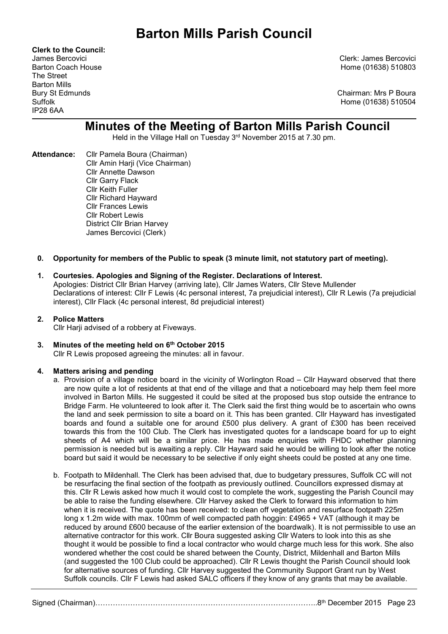Clerk to the Council: The Street Barton Mills IP28 6AA

James Bercovici Clerk: James Bercovici Barton Coach House **Home (01638)** 510803

Bury St Edmunds Chairman: Mrs P Boura Suffolk Home (01638) 510504

# Minutes of the Meeting of Barton Mills Parish Council

Held in the Village Hall on Tuesday 3rd November 2015 at 7.30 pm.

Attendance: Cllr Pamela Boura (Chairman) Cllr Amin Harji (Vice Chairman) Cllr Annette Dawson Cllr Garry Flack Cllr Keith Fuller Cllr Richard Hayward Cllr Frances Lewis Cllr Robert Lewis District Cllr Brian Harvey James Bercovici (Clerk)

## 0. Opportunity for members of the Public to speak (3 minute limit, not statutory part of meeting).

# 1. Courtesies. Apologies and Signing of the Register. Declarations of Interest.

Apologies: District Cllr Brian Harvey (arriving late), Cllr James Waters, Cllr Steve Mullender Declarations of interest: Cllr F Lewis (4c personal interest, 7a prejudicial interest), Cllr R Lewis (7a prejudicial interest), Cllr Flack (4c personal interest, 8d prejudicial interest)

## 2. Police Matters

Cllr Harii advised of a robbery at Fiveways.

3. Minutes of the meeting held on 6<sup>th</sup> October 2015 Cllr R Lewis proposed agreeing the minutes: all in favour.

# 4. Matters arising and pending

- a. Provision of a village notice board in the vicinity of Worlington Road Cllr Hayward observed that there are now quite a lot of residents at that end of the village and that a noticeboard may help them feel more involved in Barton Mills. He suggested it could be sited at the proposed bus stop outside the entrance to Bridge Farm. He volunteered to look after it. The Clerk said the first thing would be to ascertain who owns the land and seek permission to site a board on it. This has been granted. Cllr Hayward has investigated boards and found a suitable one for around £500 plus delivery. A grant of £300 has been received towards this from the 100 Club. The Clerk has investigated quotes for a landscape board for up to eight sheets of A4 which will be a similar price. He has made enquiries with FHDC whether planning permission is needed but is awaiting a reply. Cllr Hayward said he would be willing to look after the notice board but said it would be necessary to be selective if only eight sheets could be posted at any one time.
- b. Footpath to Mildenhall. The Clerk has been advised that, due to budgetary pressures, Suffolk CC will not be resurfacing the final section of the footpath as previously outlined. Councillors expressed dismay at this. Cllr R Lewis asked how much it would cost to complete the work, suggesting the Parish Council may be able to raise the funding elsewhere. Cllr Harvey asked the Clerk to forward this information to him when it is received. The quote has been received: to clean off vegetation and resurface footpath 225m long x 1.2m wide with max. 100mm of well compacted path hoggin: £4965 + VAT (although it may be reduced by around £600 because of the earlier extension of the boardwalk). It is not permissible to use an alternative contractor for this work. Cllr Boura suggested asking Cllr Waters to look into this as she thought it would be possible to find a local contractor who would charge much less for this work. She also wondered whether the cost could be shared between the County, District, Mildenhall and Barton Mills (and suggested the 100 Club could be approached). Cllr R Lewis thought the Parish Council should look for alternative sources of funding. Cllr Harvey suggested the Community Support Grant run by West Suffolk councils. Cllr F Lewis had asked SALC officers if they know of any grants that may be available.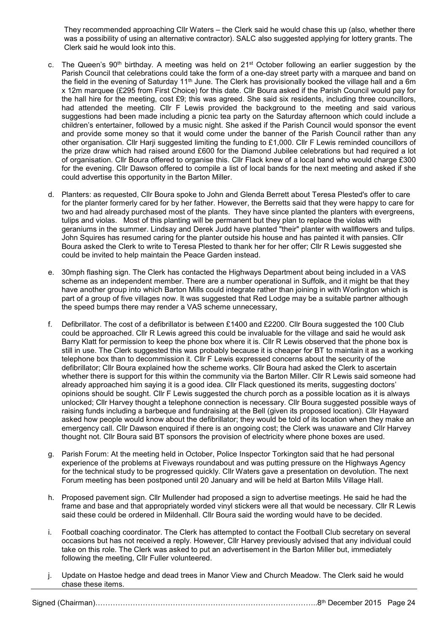They recommended approaching Cllr Waters – the Clerk said he would chase this up (also, whether there was a possibility of using an alternative contractor). SALC also suggested applying for lottery grants. The Clerk said he would look into this.

- c. The Queen's 90<sup>th</sup> birthday. A meeting was held on 21<sup>st</sup> October following an earlier suggestion by the Parish Council that celebrations could take the form of a one-day street party with a marquee and band on the field in the evening of Saturday 11<sup>th</sup> June. The Clerk has provisionally booked the village hall and a 6m x 12m marquee (£295 from First Choice) for this date. Cllr Boura asked if the Parish Council would pay for the hall hire for the meeting, cost £9; this was agreed. She said six residents, including three councillors, had attended the meeting. Cllr F Lewis provided the background to the meeting and said various suggestions had been made including a picnic tea party on the Saturday afternoon which could include a children's entertainer, followed by a music night. She asked if the Parish Council would sponsor the event and provide some money so that it would come under the banner of the Parish Council rather than any other organisation. Cllr Harji suggested limiting the funding to £1,000. Cllr F Lewis reminded councillors of the prize draw which had raised around £600 for the Diamond Jubilee celebrations but had required a lot of organisation. Cllr Boura offered to organise this. Cllr Flack knew of a local band who would charge £300 for the evening. Cllr Dawson offered to compile a list of local bands for the next meeting and asked if she could advertise this opportunity in the Barton Miller.
- d. Planters: as requested, Cllr Boura spoke to John and Glenda Berrett about Teresa Plested's offer to care for the planter formerly cared for by her father. However, the Berretts said that they were happy to care for two and had already purchased most of the plants. They have since planted the planters with evergreens, tulips and violas. Most of this planting will be permanent but they plan to replace the violas with geraniums in the summer. Lindsay and Derek Judd have planted "their" planter with wallflowers and tulips. John Squires has resumed caring for the planter outside his house and has painted it with pansies. Cllr Boura asked the Clerk to write to Teresa Plested to thank her for her offer; Cllr R Lewis suggested she could be invited to help maintain the Peace Garden instead.
- e. 30mph flashing sign. The Clerk has contacted the Highways Department about being included in a VAS scheme as an independent member. There are a number operational in Suffolk, and it might be that they have another group into which Barton Mills could integrate rather than joining in with Worlington which is part of a group of five villages now. It was suggested that Red Lodge may be a suitable partner although the speed bumps there may render a VAS scheme unnecessary,
- f. Defibrillator. The cost of a defibrillator is between £1400 and £2200. Cllr Boura suggested the 100 Club could be approached. Cllr R Lewis agreed this could be invaluable for the village and said he would ask Barry Klatt for permission to keep the phone box where it is. Cllr R Lewis observed that the phone box is still in use. The Clerk suggested this was probably because it is cheaper for BT to maintain it as a working telephone box than to decommission it. Cllr F Lewis expressed concerns about the security of the defibrillator; Cllr Boura explained how the scheme works. Cllr Boura had asked the Clerk to ascertain whether there is support for this within the community via the Barton Miller. Cllr R Lewis said someone had already approached him saying it is a good idea. Cllr Flack questioned its merits, suggesting doctors' opinions should be sought. Cllr F Lewis suggested the church porch as a possible location as it is always unlocked; Cllr Harvey thought a telephone connection is necessary. Cllr Boura suggested possible ways of raising funds including a barbeque and fundraising at the Bell (given its proposed location). Cllr Hayward asked how people would know about the defibrillator; they would be told of its location when they make an emergency call. Cllr Dawson enquired if there is an ongoing cost; the Clerk was unaware and Cllr Harvey thought not. Cllr Boura said BT sponsors the provision of electricity where phone boxes are used.
- g. Parish Forum: At the meeting held in October, Police Inspector Torkington said that he had personal experience of the problems at Fiveways roundabout and was putting pressure on the Highways Agency for the technical study to be progressed quickly. Cllr Waters gave a presentation on devolution. The next Forum meeting has been postponed until 20 January and will be held at Barton Mills Village Hall.
- h. Proposed pavement sign. Cllr Mullender had proposed a sign to advertise meetings. He said he had the frame and base and that appropriately worded vinyl stickers were all that would be necessary. Cllr R Lewis said these could be ordered in Mildenhall. Cllr Boura said the wording would have to be decided.
- i. Football coaching coordinator. The Clerk has attempted to contact the Football Club secretary on several occasions but has not received a reply. However, Cllr Harvey previously advised that any individual could take on this role. The Clerk was asked to put an advertisement in the Barton Miller but, immediately following the meeting, Cllr Fuller volunteered.
- j. Update on Hastoe hedge and dead trees in Manor View and Church Meadow. The Clerk said he would chase these items.

Signed (Chairman)……………………………………………………………………………..8th December 2015 Page 24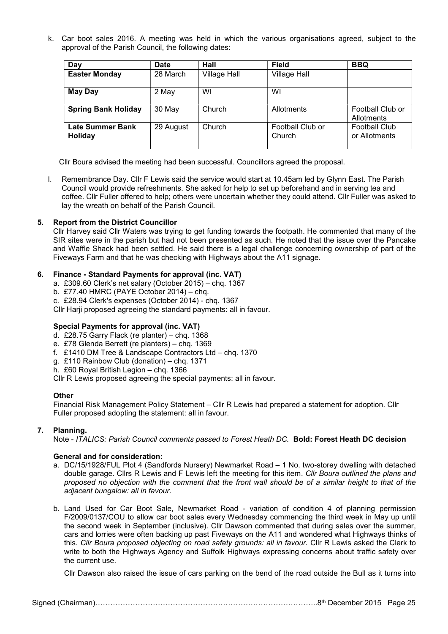k. Car boot sales 2016. A meeting was held in which the various organisations agreed, subject to the approval of the Parish Council, the following dates:

| Day                                | <b>Date</b> | Hall                | <b>Field</b>               | <b>BBQ</b>                            |
|------------------------------------|-------------|---------------------|----------------------------|---------------------------------------|
| <b>Easter Monday</b>               | 28 March    | <b>Village Hall</b> | <b>Village Hall</b>        |                                       |
| <b>May Day</b>                     | 2 May       | WI                  | WI                         |                                       |
| <b>Spring Bank Holiday</b>         | 30 May      | Church              | Allotments                 | Football Club or<br>Allotments        |
| <b>Late Summer Bank</b><br>Holiday | 29 August   | Church              | Football Club or<br>Church | <b>Football Club</b><br>or Allotments |

Cllr Boura advised the meeting had been successful. Councillors agreed the proposal.

l. Remembrance Day. Cllr F Lewis said the service would start at 10.45am led by Glynn East. The Parish Council would provide refreshments. She asked for help to set up beforehand and in serving tea and coffee. Cllr Fuller offered to help; others were uncertain whether they could attend. Cllr Fuller was asked to lay the wreath on behalf of the Parish Council.

## 5. Report from the District Councillor

Cllr Harvey said Cllr Waters was trying to get funding towards the footpath. He commented that many of the SIR sites were in the parish but had not been presented as such. He noted that the issue over the Pancake and Waffle Shack had been settled. He said there is a legal challenge concerning ownership of part of the Fiveways Farm and that he was checking with Highways about the A11 signage.

## 6. Finance - Standard Payments for approval (inc. VAT)

- a. £309.60 Clerk's net salary (October 2015) chq. 1367
- b. £77.40 HMRC (PAYE October 2014) chq.
- c. £28.94 Clerk's expenses (October 2014) chq. 1367

Cllr Harji proposed agreeing the standard payments: all in favour.

## Special Payments for approval (inc. VAT)

- d. £28.75 Garry Flack (re planter) chq. 1368
- e. £78 Glenda Berrett (re planters) chq. 1369
- f. £1410 DM Tree & Landscape Contractors Ltd chq. 1370
- g. £110 Rainbow Club (donation) chq. 1371
- h. £60 Royal British Legion chg. 1366

Cllr R Lewis proposed agreeing the special payments: all in favour.

#### **Other**

Financial Risk Management Policy Statement – Cllr R Lewis had prepared a statement for adoption. Cllr Fuller proposed adopting the statement: all in favour.

## 7. Planning.

Note - ITALICS: Parish Council comments passed to Forest Heath DC. Bold: Forest Heath DC decision

#### General and for consideration:

- a. DC/15/1928/FUL Plot 4 (Sandfords Nursery) Newmarket Road 1 No. two-storey dwelling with detached double garage. Cllrs R Lewis and F Lewis left the meeting for this item. Cllr Boura outlined the plans and proposed no objection with the comment that the front wall should be of a similar height to that of the adjacent bungalow: all in favour.
- b. Land Used for Car Boot Sale, Newmarket Road variation of condition 4 of planning permission F/2009/0137/COU to allow car boot sales every Wednesday commencing the third week in May up until the second week in September (inclusive). Cllr Dawson commented that during sales over the summer, cars and lorries were often backing up past Fiveways on the A11 and wondered what Highways thinks of this. Cllr Boura proposed objecting on road safety grounds: all in favour. Cllr R Lewis asked the Clerk to write to both the Highways Agency and Suffolk Highways expressing concerns about traffic safety over the current use.

Cllr Dawson also raised the issue of cars parking on the bend of the road outside the Bull as it turns into